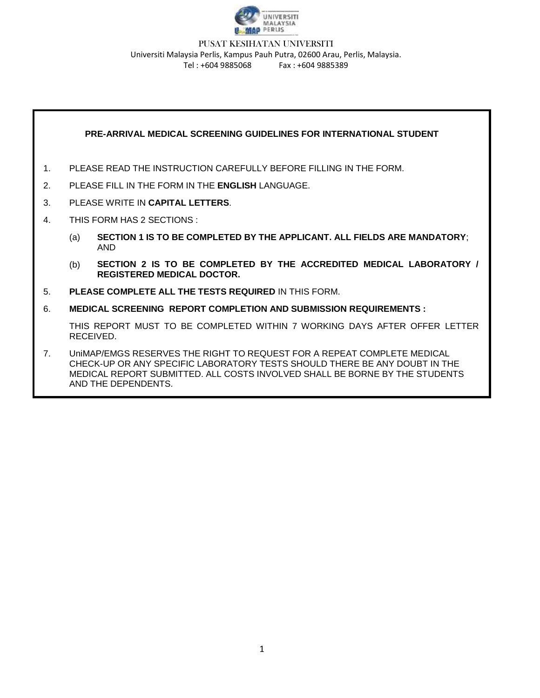

#### PUSAT KESIHATAN UNIVERSITI Universiti Malaysia Perlis, Kampus Pauh Putra, 02600 Arau, Perlis, Malaysia. Tel : +604 9885068 Fax : +604 9885389

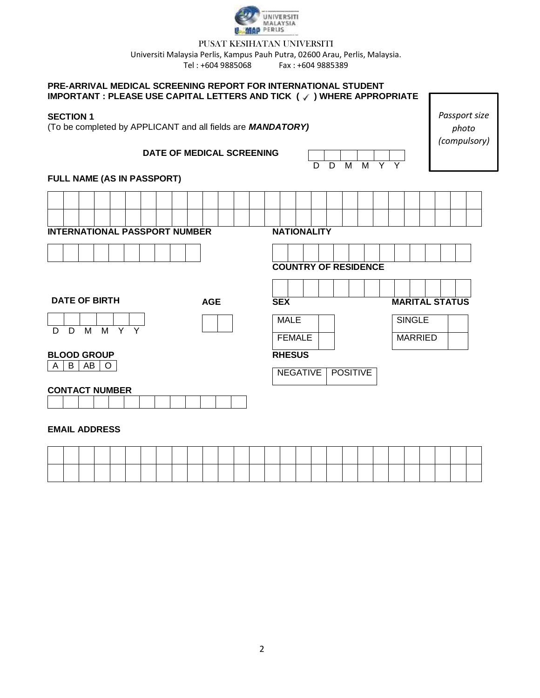

#### PUSAT KESIHATAN UNIVERSITI

Universiti Malaysia Perlis, Kampus Pauh Putra, 02600 Arau, Perlis, Malaysia.

Tel : +604 9885068 Fax : +604 9885389

#### **PRE-ARRIVAL MEDICAL SCREENING REPORT FOR INTERNATIONAL STUDENT IMPORTANT : PLEASE USE CAPITAL LETTERS AND TICK (√) WHERE APPROPRIATE**

#### **SECTION 1**

**FULL NAME (AS IN PASSPORT)**

**INTERNATIONAL PASSPORT NUMBER** 

(To be completed by APPLICANT and all fields

## **DATE OF MEDICAL S**

**AGE SEX**

| are <i>MANDATORY)</i><br><b>SCREENING</b> |             |                             |   |   |                 |  | $M$ $Y$ $Y$ |                |                       | (compulsory) | photo |  |
|-------------------------------------------|-------------|-----------------------------|---|---|-----------------|--|-------------|----------------|-----------------------|--------------|-------|--|
|                                           |             |                             | D | D | M               |  |             |                |                       |              |       |  |
|                                           |             |                             |   |   |                 |  |             |                |                       |              |       |  |
|                                           |             |                             |   |   |                 |  |             |                |                       |              |       |  |
|                                           |             | <b>NATIONALITY</b>          |   |   |                 |  |             |                |                       |              |       |  |
|                                           |             |                             |   |   |                 |  |             |                |                       |              |       |  |
|                                           |             | <b>COUNTRY OF RESIDENCE</b> |   |   |                 |  |             |                |                       |              |       |  |
|                                           |             |                             |   |   |                 |  |             |                |                       |              |       |  |
|                                           | <b>SEX</b>  |                             |   |   |                 |  |             |                | <b>MARITAL STATUS</b> |              |       |  |
|                                           | <b>MALE</b> |                             |   |   |                 |  |             | <b>SINGLE</b>  |                       |              |       |  |
|                                           |             | <b>FEMALE</b>               |   |   |                 |  |             | <b>MARRIED</b> |                       |              |       |  |
|                                           |             | <b>RHESUS</b>               |   |   |                 |  |             |                |                       |              |       |  |
|                                           |             | <b>NEGATIVE</b>             |   |   | <b>POSITIVE</b> |  |             |                |                       |              |       |  |
|                                           |             |                             |   |   |                 |  |             |                |                       |              |       |  |

*Passport size* 

# **EMAIL ADDRESS**

**CONTACT NUMBER** 

D D M M Y Y

**DATE OF BIRTH**

**BLOOD GROUP**  $A \mid B \mid AB \mid O$